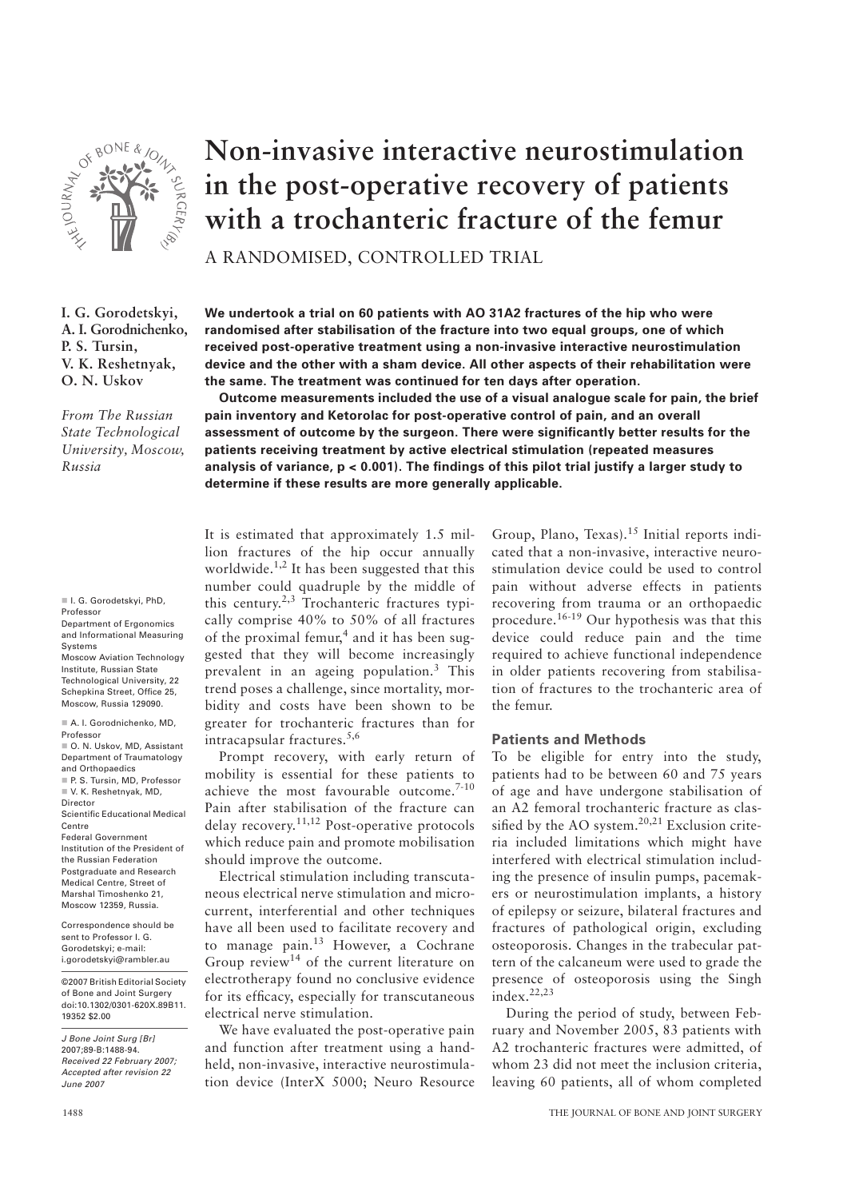

**Non-invasive interactive neurostimulation in the post-operative recovery of patients with a trochanteric fracture of the femur**

A RANDOMISED, CONTROLLED TRIAL

**We undertook a trial on 60 patients with AO 31A2 fractures of the hip who were randomised after stabilisation of the fracture into two equal groups, one of which received post-operative treatment using a non-invasive interactive neurostimulation device and the other with a sham device. All other aspects of their rehabilitation were the same. The treatment was continued for ten days after operation.**

**Outcome measurements included the use of a visual analogue scale for pain, the brief pain inventory and Ketorolac for post-operative control of pain, and an overall assessment of outcome by the surgeon. There were significantly better results for the patients receiving treatment by active electrical stimulation (repeated measures analysis of variance, p < 0.001). The findings of this pilot trial justify a larger study to determine if these results are more generally applicable.**

**I. G. Gorodetskyi, A. I. Gorodnichenko, P. S. Tursin, V. K. Reshetnyak, O. N. Uskov**

*From The Russian State Technological University, Moscow, Russia*

 I. G. Gorodetskyi, PhD, Professor Department of Ergonomics and Informational Measuring Systems Moscow Aviation Technology Institute, Russian State Technological University, 22 Schepkina Street, Office 25, Moscow, Russia 129090.

 A. I. Gorodnichenko, MD, Professor O. N. Uskov, MD. Assistant Department of Traumatology and Orthopaedics P. S. Tursin, MD, Professor V. K. Reshetnyak, MD, Director Scientific Educational Medical Centre Federal Government Institution of the President of the Russian Federation Postgraduate and Research Medical Centre, Street of Marshal Timoshenko 21, Moscow 12359, Russia.

Correspondence should be sent to Professor I. G. Gorodetskyi; e-mail: i.gorodetskyi@rambler.au

©2007 British Editorial Society of Bone and Joint Surgery doi:10.1302/0301-620X.89B11. 19352 \$2.00

*J Bone Joint Surg [Br]*  2007;89-B:1488-94. *Received 22 February 2007; Accepted after revision 22 June 2007*

lion fractures of the hip occur annually worldwide.<sup>1,2</sup> It has been suggested that this number could quadruple by the middle of this century.2,3 Trochanteric fractures typically comprise 40% to 50% of all fractures of the proximal femur,<sup>4</sup> and it has been suggested that they will become increasingly prevalent in an ageing population.<sup>3</sup> This trend poses a challenge, since mortality, morbidity and costs have been shown to be greater for trochanteric fractures than for intracapsular fractures. $5,6$ Prompt recovery, with early return of

It is estimated that approximately 1.5 mil-

mobility is essential for these patients to achieve the most favourable outcome.<sup>7-10</sup> Pain after stabilisation of the fracture can delay recovery.11,12 Post-operative protocols which reduce pain and promote mobilisation should improve the outcome.

Electrical stimulation including transcutaneous electrical nerve stimulation and microcurrent, interferential and other techniques have all been used to facilitate recovery and to manage pain.<sup>13</sup> However, a Cochrane Group review<sup>14</sup> of the current literature on electrotherapy found no conclusive evidence for its efficacy, especially for transcutaneous electrical nerve stimulation.

We have evaluated the post-operative pain and function after treatment using a handheld, non-invasive, interactive neurostimulation device (InterX 5000; Neuro Resource Group, Plano, Texas).<sup>15</sup> Initial reports indicated that a non-invasive, interactive neurostimulation device could be used to control pain without adverse effects in patients recovering from trauma or an orthopaedic procedure.16-19 Our hypothesis was that this device could reduce pain and the time required to achieve functional independence in older patients recovering from stabilisation of fractures to the trochanteric area of the femur.

## **Patients and Methods**

To be eligible for entry into the study, patients had to be between 60 and 75 years of age and have undergone stabilisation of an A2 femoral trochanteric fracture as classified by the AO system. $20,21$  Exclusion criteria included limitations which might have interfered with electrical stimulation including the presence of insulin pumps, pacemakers or neurostimulation implants, a history of epilepsy or seizure, bilateral fractures and fractures of pathological origin, excluding osteoporosis. Changes in the trabecular pattern of the calcaneum were used to grade the presence of osteoporosis using the Singh  $index.$ <sup>22,23</sup>

During the period of study, between February and November 2005, 83 patients with A2 trochanteric fractures were admitted, of whom 23 did not meet the inclusion criteria, leaving 60 patients, all of whom completed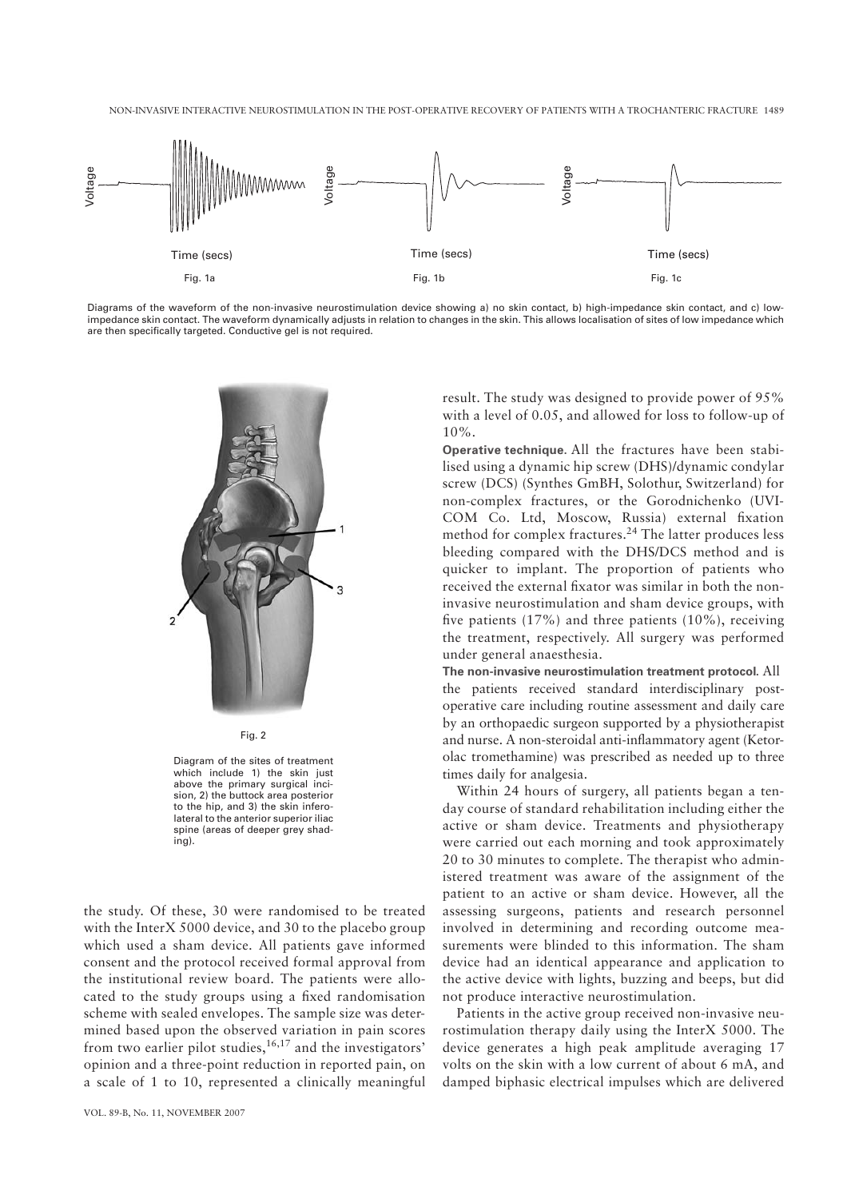

Diagrams of the waveform of the non-invasive neurostimulation device showing a) no skin contact, b) high-impedance skin contact, and c) lowimpedance skin contact. The waveform dynamically adjusts in relation to changes in the skin. This allows localisation of sites of low impedance which are then specifically targeted. Conductive gel is not required.



Fig. 2

Diagram of the sites of treatment which include 1) the skin just above the primary surgical incision, 2) the buttock area posterior to the hip, and 3) the skin inferolateral to the anterior superior iliac spine (areas of deeper grey shading).

the study. Of these, 30 were randomised to be treated with the InterX 5000 device, and 30 to the placebo group which used a sham device. All patients gave informed consent and the protocol received formal approval from the institutional review board. The patients were allocated to the study groups using a fixed randomisation scheme with sealed envelopes. The sample size was determined based upon the observed variation in pain scores from two earlier pilot studies,  $16,17$  and the investigators' opinion and a three-point reduction in reported pain, on a scale of 1 to 10, represented a clinically meaningful result. The study was designed to provide power of 95% with a level of 0.05, and allowed for loss to follow-up of 10%.

**Operative technique.** All the fractures have been stabilised using a dynamic hip screw (DHS)/dynamic condylar screw (DCS) (Synthes GmBH, Solothur, Switzerland) for non-complex fractures, or the Gorodnichenko (UVI-COM Co. Ltd, Moscow, Russia) external fixation method for complex fractures.<sup>24</sup> The latter produces less bleeding compared with the DHS/DCS method and is quicker to implant. The proportion of patients who received the external fixator was similar in both the noninvasive neurostimulation and sham device groups, with five patients (17%) and three patients (10%), receiving the treatment, respectively. All surgery was performed under general anaesthesia.

**The non-invasive neurostimulation treatment protocol.** All the patients received standard interdisciplinary postoperative care including routine assessment and daily care by an orthopaedic surgeon supported by a physiotherapist and nurse. A non-steroidal anti-inflammatory agent (Ketorolac tromethamine) was prescribed as needed up to three times daily for analgesia.

Within 24 hours of surgery, all patients began a tenday course of standard rehabilitation including either the active or sham device. Treatments and physiotherapy were carried out each morning and took approximately 20 to 30 minutes to complete. The therapist who administered treatment was aware of the assignment of the patient to an active or sham device. However, all the assessing surgeons, patients and research personnel involved in determining and recording outcome measurements were blinded to this information. The sham device had an identical appearance and application to the active device with lights, buzzing and beeps, but did not produce interactive neurostimulation.

Patients in the active group received non-invasive neurostimulation therapy daily using the InterX 5000. The device generates a high peak amplitude averaging 17 volts on the skin with a low current of about 6 mA, and damped biphasic electrical impulses which are delivered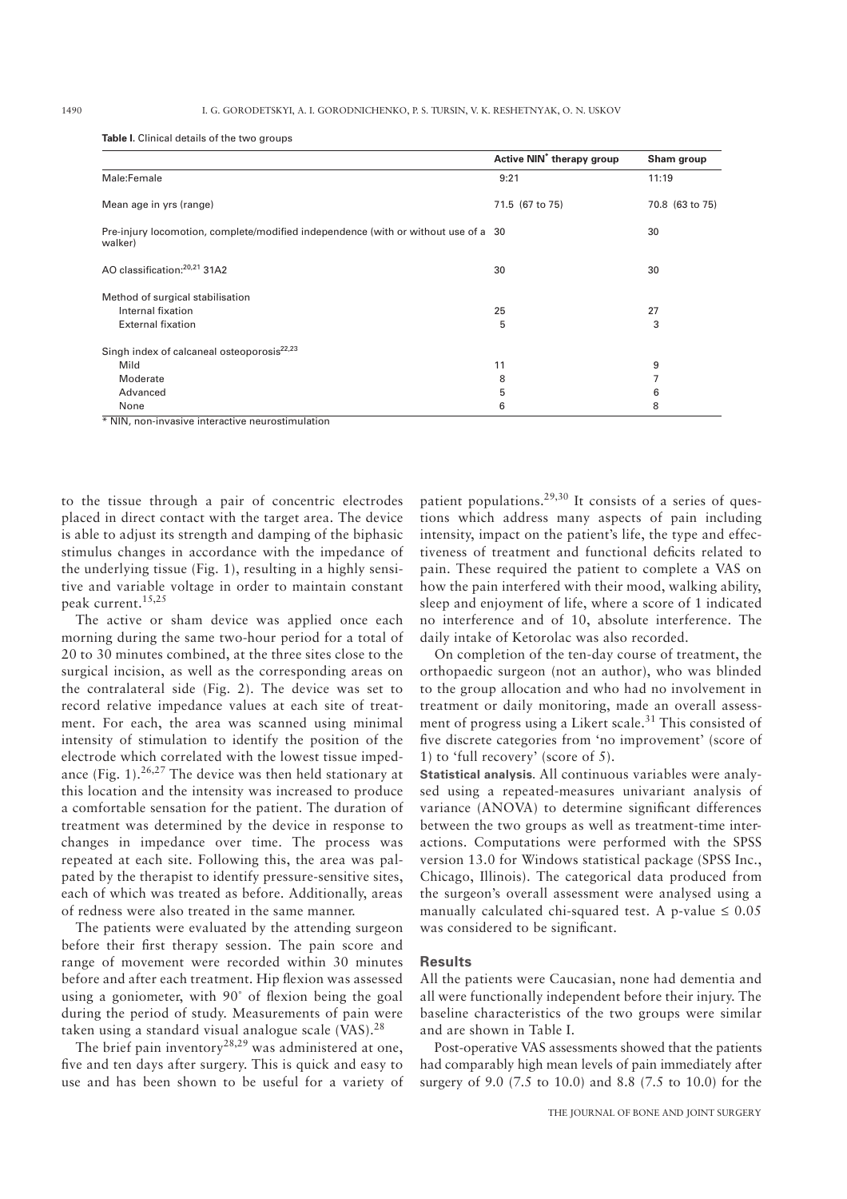|                                                                                               | Active NIN <sup>*</sup> therapy group | Sham group      |
|-----------------------------------------------------------------------------------------------|---------------------------------------|-----------------|
| Male:Female                                                                                   | 9:21                                  | 11:19           |
| Mean age in yrs (range)                                                                       | 71.5 (67 to 75)                       | 70.8 (63 to 75) |
| Pre-injury locomotion, complete/modified independence (with or without use of a 30<br>walker) |                                       | 30              |
| AO classification: <sup>20,21</sup> 31A2                                                      | 30                                    | 30              |
| Method of surgical stabilisation                                                              |                                       |                 |
| Internal fixation                                                                             | 25                                    | 27              |
| <b>External fixation</b>                                                                      | 5                                     | 3               |
| Singh index of calcaneal osteoporosis <sup>22,23</sup>                                        |                                       |                 |
| Mild                                                                                          | 11                                    | 9               |
| Moderate                                                                                      | 8                                     |                 |
| Advanced                                                                                      | 5                                     | 6               |
| None                                                                                          | 6                                     | 8               |

\* NIN, non-invasive interactive neurostimulation

to the tissue through a pair of concentric electrodes placed in direct contact with the target area. The device is able to adjust its strength and damping of the biphasic stimulus changes in accordance with the impedance of the underlying tissue (Fig. 1), resulting in a highly sensitive and variable voltage in order to maintain constant peak current.15,25

The active or sham device was applied once each morning during the same two-hour period for a total of 20 to 30 minutes combined, at the three sites close to the surgical incision, as well as the corresponding areas on the contralateral side (Fig. 2). The device was set to record relative impedance values at each site of treatment. For each, the area was scanned using minimal intensity of stimulation to identify the position of the electrode which correlated with the lowest tissue impedance (Fig. 1).<sup>26,27</sup> The device was then held stationary at this location and the intensity was increased to produce a comfortable sensation for the patient. The duration of treatment was determined by the device in response to changes in impedance over time. The process was repeated at each site. Following this, the area was palpated by the therapist to identify pressure-sensitive sites, each of which was treated as before. Additionally, areas of redness were also treated in the same manner.

The patients were evaluated by the attending surgeon before their first therapy session. The pain score and range of movement were recorded within 30 minutes before and after each treatment. Hip flexion was assessed using a goniometer, with 90˚ of flexion being the goal during the period of study. Measurements of pain were taken using a standard visual analogue scale (VAS).<sup>28</sup>

The brief pain inventory<sup>28,29</sup> was administered at one, five and ten days after surgery. This is quick and easy to use and has been shown to be useful for a variety of patient populations.<sup>29,30</sup> It consists of a series of questions which address many aspects of pain including intensity, impact on the patient's life, the type and effectiveness of treatment and functional deficits related to pain. These required the patient to complete a VAS on how the pain interfered with their mood, walking ability, sleep and enjoyment of life, where a score of 1 indicated no interference and of 10, absolute interference. The daily intake of Ketorolac was also recorded.

On completion of the ten-day course of treatment, the orthopaedic surgeon (not an author), who was blinded to the group allocation and who had no involvement in treatment or daily monitoring, made an overall assessment of progress using a Likert scale.<sup>31</sup> This consisted of five discrete categories from 'no improvement' (score of 1) to 'full recovery' (score of 5).

**Statistical analysis.** All continuous variables were analysed using a repeated-measures univariant analysis of variance (ANOVA) to determine significant differences between the two groups as well as treatment-time interactions. Computations were performed with the SPSS version 13.0 for Windows statistical package (SPSS Inc., Chicago, Illinois). The categorical data produced from the surgeon's overall assessment were analysed using a manually calculated chi-squared test. A p-value  $\leq 0.05$ was considered to be significant.

## **Results**

All the patients were Caucasian, none had dementia and all were functionally independent before their injury. The baseline characteristics of the two groups were similar and are shown in Table I.

Post-operative VAS assessments showed that the patients had comparably high mean levels of pain immediately after surgery of 9.0 (7.5 to 10.0) and 8.8 (7.5 to 10.0) for the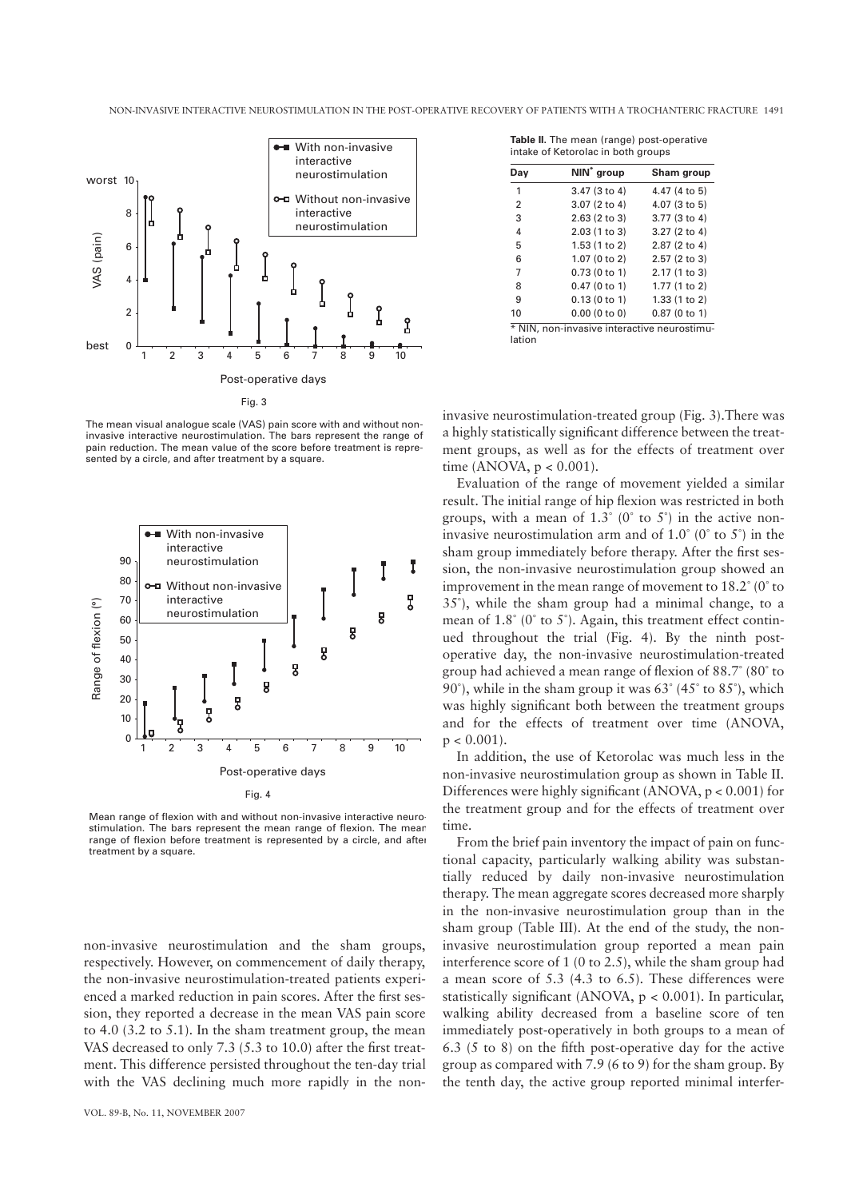

The mean visual analogue scale (VAS) pain score with and without noninvasive interactive neurostimulation. The bars represent the range of pain reduction. The mean value of the score before treatment is represented by a circle, and after treatment by a square.



Mean range of flexion with and without non-invasive interactive neurostimulation. The bars represent the mean range of flexion. The mean range of flexion before treatment is represented by a circle, and after treatment by a square.

non-invasive neurostimulation and the sham groups, respectively. However, on commencement of daily therapy, the non-invasive neurostimulation-treated patients experienced a marked reduction in pain scores. After the first session, they reported a decrease in the mean VAS pain score to 4.0 (3.2 to 5.1). In the sham treatment group, the mean VAS decreased to only 7.3 (5.3 to 10.0) after the first treatment. This difference persisted throughout the ten-day trial with the VAS declining much more rapidly in the non-

**Table II.** The mean (range) post-operative intake of Ketorolac in both groups

| Day            | NIN <sup>*</sup> group              | Sham group    |
|----------------|-------------------------------------|---------------|
| 1              | 3.47 (3 to 4)                       | 4.47 (4 to 5) |
| $\overline{2}$ | 3.07 (2 to 4)                       | 4.07 (3 to 5) |
| 3              | 2.63 (2 to 3)                       | 3.77 (3 to 4) |
| 4              | 2.03 (1 to 3)                       | 3.27(2 to 4)  |
| 5              | 1.53(1 to 2)                        | 2.87 (2 to 4) |
| 6              | 1.07(0 to 2)                        | 2.57 (2 to 3) |
| 7              | 0.73(0 to 1)                        | 2.17 (1 to 3) |
| 8              | $0.47$ (0 to 1)                     | 1.77 (1 to 2) |
| 9              | 0.13(0 to 1)                        | 1.33(1 to 2)  |
| 10             | $0.00$ (0 to 0)                     | 0.87 (0 to 1) |
| $*$ NII        | non invooivo interactivo neurootimu |               |

\* NIN, non-invasive interactive neurostimulation

invasive neurostimulation-treated group (Fig. 3).There was a highly statistically significant difference between the treatment groups, as well as for the effects of treatment over time (ANOVA,  $p < 0.001$ ).

Evaluation of the range of movement yielded a similar result. The initial range of hip flexion was restricted in both groups, with a mean of  $1.3^{\circ}$  (0 $^{\circ}$  to  $5^{\circ}$ ) in the active noninvasive neurostimulation arm and of 1.0˚ (0˚ to 5˚) in the sham group immediately before therapy. After the first session, the non-invasive neurostimulation group showed an improvement in the mean range of movement to 18.2˚ (0˚ to 35˚), while the sham group had a minimal change, to a mean of  $1.8^{\circ}$  (0 $^{\circ}$  to  $5^{\circ}$ ). Again, this treatment effect continued throughout the trial (Fig. 4). By the ninth postoperative day, the non-invasive neurostimulation-treated group had achieved a mean range of flexion of 88.7˚ (80˚ to 90°), while in the sham group it was  $63^{\circ}$  (45 $^{\circ}$  to 85 $^{\circ}$ ), which was highly significant both between the treatment groups and for the effects of treatment over time (ANOVA,  $p < 0.001$ ).

In addition, the use of Ketorolac was much less in the non-invasive neurostimulation group as shown in Table II. Differences were highly significant (ANOVA, p < 0.001) for the treatment group and for the effects of treatment over time.

From the brief pain inventory the impact of pain on functional capacity, particularly walking ability was substantially reduced by daily non-invasive neurostimulation therapy. The mean aggregate scores decreased more sharply in the non-invasive neurostimulation group than in the sham group (Table III). At the end of the study, the noninvasive neurostimulation group reported a mean pain interference score of 1 (0 to 2.5), while the sham group had a mean score of 5.3 (4.3 to 6.5). These differences were statistically significant (ANOVA, p < 0.001). In particular, walking ability decreased from a baseline score of ten immediately post-operatively in both groups to a mean of 6.3 (5 to 8) on the fifth post-operative day for the active group as compared with 7.9 (6 to 9) for the sham group. By the tenth day, the active group reported minimal interfer-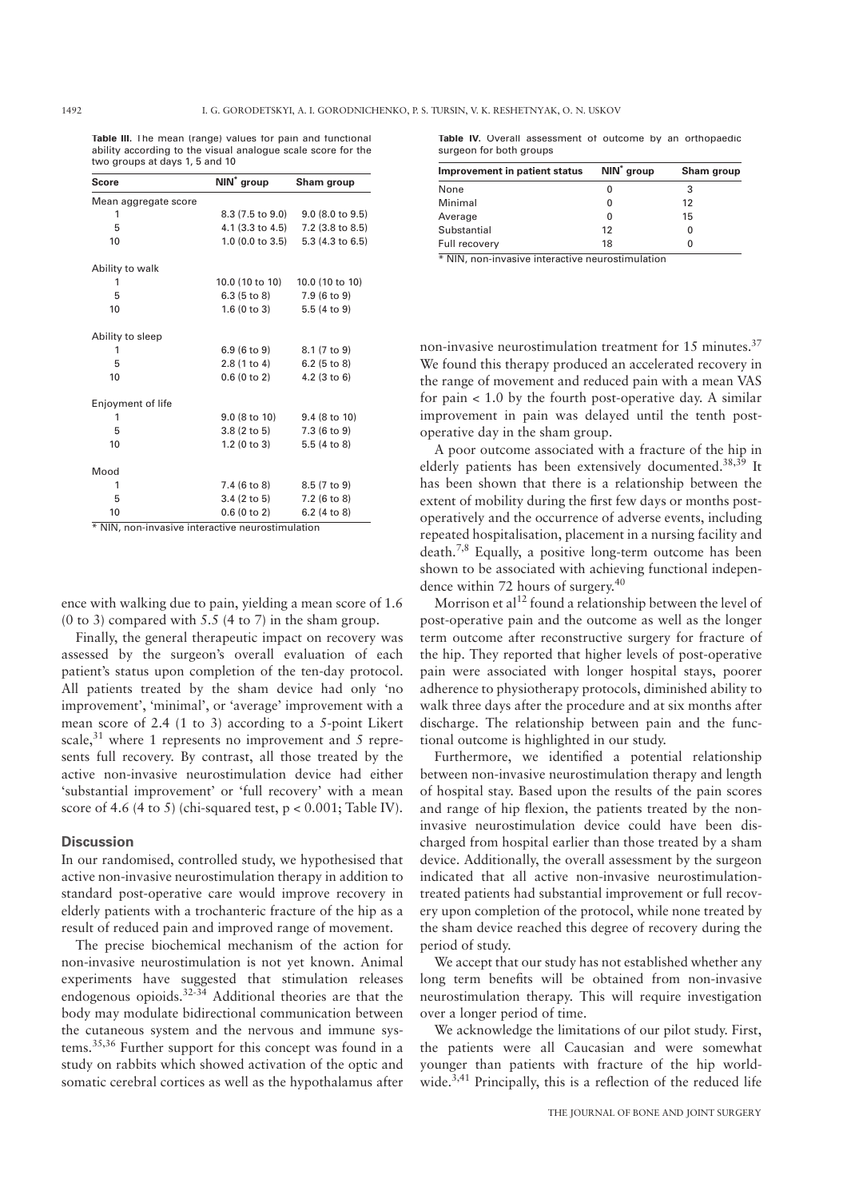**Table III.** The mean (range) values for pain and functional ability according to the visual analogue scale score for the two groups at days 1, 5 and 10

| Score                | NIN <sup>*</sup> group | Sham group             |
|----------------------|------------------------|------------------------|
| Mean aggregate score |                        |                        |
| 1                    | 8.3 (7.5 to 9.0)       | 9.0 (8.0 to 9.5)       |
| 5                    | 4.1 (3.3 to 4.5)       | 7.2 (3.8 to 8.5)       |
| 10                   | 1.0 (0.0 to 3.5)       | 5.3 (4.3 to 6.5)       |
| Ability to walk      |                        |                        |
| 1                    | 10.0 (10 to 10)        | 10.0 (10 to 10)        |
| 5                    | 6.3 (5 to 8)           | 7.9 (6 to 9)           |
| 10                   | 1.6 (0 to 3)           | $5.5(4 \text{ to } 9)$ |
| Ability to sleep     |                        |                        |
| 1                    | 6.9(6 to 9)            | $8.1(7 \text{ to } 9)$ |
| 5                    | 2.8(1 to 4)            | 6.2 (5 to 8)           |
| 10                   | 0.6(0 to 2)            | $4.2$ (3 to 6)         |
| Enjoyment of life    |                        |                        |
| 1                    | 9.0(8 to 10)           | $9.4$ (8 to 10)        |
| 5                    | $3.8(2 \text{ to } 5)$ | 7.3 (6 to 9)           |
| 10                   | 1.2 (0 to 3)           | 5.5(4 to 8)            |
| Mood                 |                        |                        |
| 1                    | 7.4 (6 to 8)           | $8.5(7)$ to 9)         |
| 5                    | $3.4(2 \text{ to } 5)$ | 7.2 (6 to 8)           |
| 10                   | 0.6(0 to 2)            | $6.2$ (4 to 8)         |

\* NIN, non-invasive interactive neurostimulation

ence with walking due to pain, yielding a mean score of 1.6  $(0 \text{ to } 3)$  compared with 5.5  $(4 \text{ to } 7)$  in the sham group.

Finally, the general therapeutic impact on recovery was assessed by the surgeon's overall evaluation of each patient's status upon completion of the ten-day protocol. All patients treated by the sham device had only 'no improvement', 'minimal', or 'average' improvement with a mean score of 2.4 (1 to 3) according to a 5-point Likert scale,  $31$  where 1 represents no improvement and 5 represents full recovery. By contrast, all those treated by the active non-invasive neurostimulation device had either 'substantial improvement' or 'full recovery' with a mean score of 4.6 (4 to 5) (chi-squared test,  $p < 0.001$ ; Table IV).

## **Discussion**

In our randomised, controlled study, we hypothesised that active non-invasive neurostimulation therapy in addition to standard post-operative care would improve recovery in elderly patients with a trochanteric fracture of the hip as a result of reduced pain and improved range of movement.

The precise biochemical mechanism of the action for non-invasive neurostimulation is not yet known. Animal experiments have suggested that stimulation releases endogenous opioids.32-34 Additional theories are that the body may modulate bidirectional communication between the cutaneous system and the nervous and immune systems.35,36 Further support for this concept was found in a study on rabbits which showed activation of the optic and somatic cerebral cortices as well as the hypothalamus after

| Improvement in patient status | NIN <sup>*</sup> group | Sham group |
|-------------------------------|------------------------|------------|
| None                          | 0                      | 3          |
| Minimal                       | 0                      | 12         |
| Average                       | 0                      | 15         |
| Substantial                   | 12                     | 0          |
| Full recovery                 | 18                     |            |

\* NIN, non-invasive interactive neurostimulation

non-invasive neurostimulation treatment for 15 minutes.<sup>37</sup> We found this therapy produced an accelerated recovery in the range of movement and reduced pain with a mean VAS for pain  $\lt$  1.0 by the fourth post-operative day. A similar improvement in pain was delayed until the tenth postoperative day in the sham group.

A poor outcome associated with a fracture of the hip in elderly patients has been extensively documented.<sup>38,39</sup> It has been shown that there is a relationship between the extent of mobility during the first few days or months postoperatively and the occurrence of adverse events, including repeated hospitalisation, placement in a nursing facility and death.7,8 Equally, a positive long-term outcome has been shown to be associated with achieving functional independence within 72 hours of surgery.<sup>40</sup>

Morrison et al<sup>12</sup> found a relationship between the level of post-operative pain and the outcome as well as the longer term outcome after reconstructive surgery for fracture of the hip. They reported that higher levels of post-operative pain were associated with longer hospital stays, poorer adherence to physiotherapy protocols, diminished ability to walk three days after the procedure and at six months after discharge. The relationship between pain and the functional outcome is highlighted in our study.

Furthermore, we identified a potential relationship between non-invasive neurostimulation therapy and length of hospital stay. Based upon the results of the pain scores and range of hip flexion, the patients treated by the noninvasive neurostimulation device could have been discharged from hospital earlier than those treated by a sham device. Additionally, the overall assessment by the surgeon indicated that all active non-invasive neurostimulationtreated patients had substantial improvement or full recovery upon completion of the protocol, while none treated by the sham device reached this degree of recovery during the period of study.

We accept that our study has not established whether any long term benefits will be obtained from non-invasive neurostimulation therapy. This will require investigation over a longer period of time.

We acknowledge the limitations of our pilot study. First, the patients were all Caucasian and were somewhat younger than patients with fracture of the hip worldwide.<sup>3,41</sup> Principally, this is a reflection of the reduced life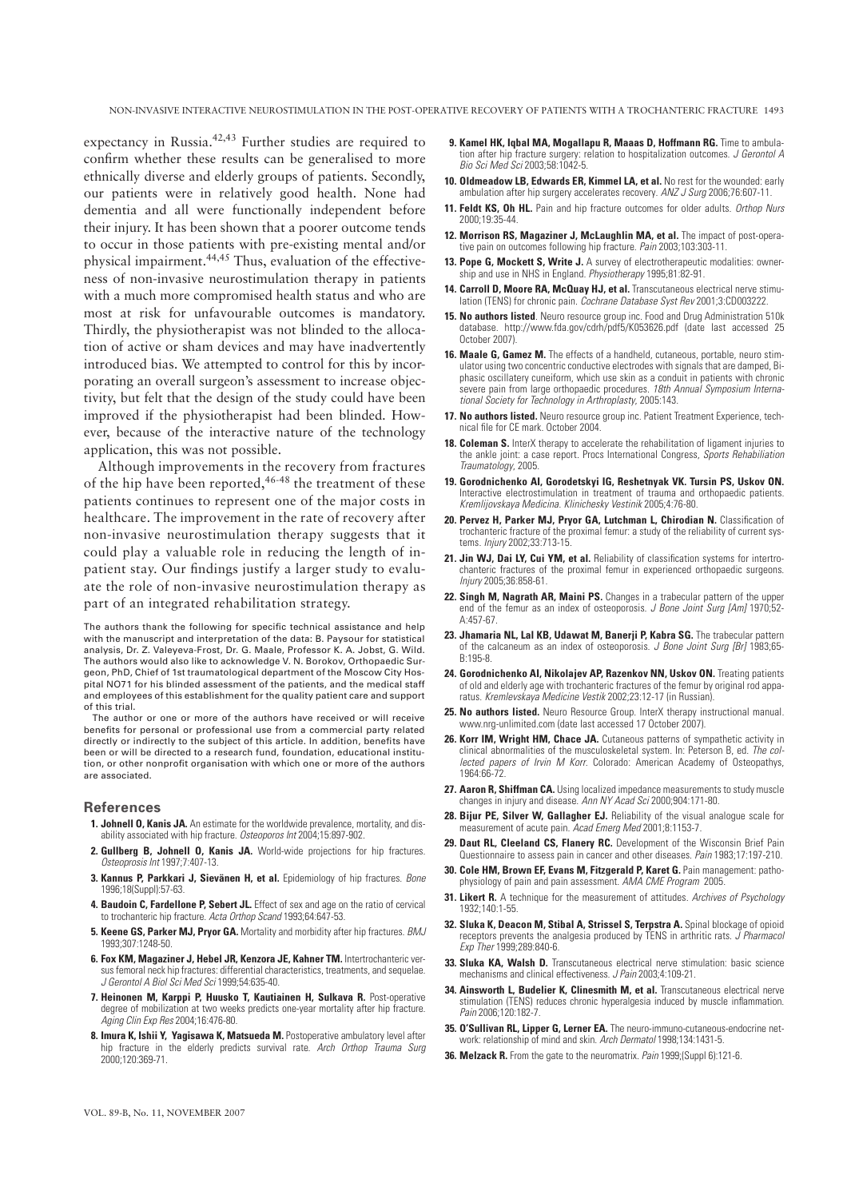NON-INVASIVE INTERACTIVE NEUROSTIMULATION IN THE POST-OPERATIVE RECOVERY OF PATIENTS WITH A TROCHANTERIC FRACTURE 1493

expectancy in Russia.42,43 Further studies are required to confirm whether these results can be generalised to more ethnically diverse and elderly groups of patients. Secondly, our patients were in relatively good health. None had dementia and all were functionally independent before their injury. It has been shown that a poorer outcome tends to occur in those patients with pre-existing mental and/or physical impairment.44,45 Thus, evaluation of the effectiveness of non-invasive neurostimulation therapy in patients with a much more compromised health status and who are most at risk for unfavourable outcomes is mandatory. Thirdly, the physiotherapist was not blinded to the allocation of active or sham devices and may have inadvertently introduced bias. We attempted to control for this by incorporating an overall surgeon's assessment to increase objectivity, but felt that the design of the study could have been improved if the physiotherapist had been blinded. However, because of the interactive nature of the technology application, this was not possible.

Although improvements in the recovery from fractures of the hip have been reported,  $46-48$  the treatment of these patients continues to represent one of the major costs in healthcare. The improvement in the rate of recovery after non-invasive neurostimulation therapy suggests that it could play a valuable role in reducing the length of inpatient stay. Our findings justify a larger study to evaluate the role of non-invasive neurostimulation therapy as part of an integrated rehabilitation strategy.

The authors thank the following for specific technical assistance and help with the manuscript and interpretation of the data: B. Paysour for statistical analysis, Dr. Z. Valeyeva-Frost, Dr. G. Maale, Professor K. A. Jobst, G. Wild. The authors would also like to acknowledge V. N. Borokov, Orthopaedic Surgeon, PhD, Chief of 1st traumatological department of the Moscow City Hospital NO71 for his blinded assessment of the patients, and the medical staff and employees of this establishment for the quality patient care and support of this trial.

The author or one or more of the authors have received or will receive benefits for personal or professional use from a commercial party related directly or indirectly to the subject of this article. In addition, benefits have been or will be directed to a research fund, foundation, educational institution, or other nonprofit organisation with which one or more of the authors are associated.

## **References**

- **1. Johnell O, Kanis JA.** An estimate for the worldwide prevalence, mortality, and disability associated with hip fracture. *Osteoporos Int* 2004;15:897-902.
- **2. Gullberg B, Johnell O, Kanis JA.** World-wide projections for hip fractures. *Osteoprosis Int* 1997;7:407-13.
- **3. Kannus P, Parkkari J, Sievänen H, et al.** Epidemiology of hip fractures. *Bone* 1996;18(Suppl):57-63.
- **4. Baudoin C, Fardellone P, Sebert JL.** Effect of sex and age on the ratio of cervical to trochanteric hip fracture. *Acta Orthop Scand* 1993;64:647-53.
- **5. Keene GS, Parker MJ, Pryor GA.** Mortality and morbidity after hip fractures. *BMJ* 1993;307:1248-50.
- **6. Fox KM, Magaziner J, Hebel JR, Kenzora JE, Kahner TM.** Intertrochanteric versus femoral neck hip fractures: differential characteristics, treatments, and sequelae. *J Gerontol A Biol Sci Med Sci* 1999;54:635-40.
- **7. Heinonen M, Karppi P, Huusko T, Kautiainen H, Sulkava R.** Post-operative degree of mobilization at two weeks predicts one-year mortality after hip fracture. *Aging Clin Exp Res* 2004;16:476-80.
- **8. Imura K, Ishii Y, Yagisawa K, Matsueda M.** Postoperative ambulatory level after hip fracture in the elderly predicts survival rate. *Arch Orthop Trauma Surg* 2000;120:369-71.
- **9. Kamel HK, Iqbal MA, Mogallapu R, Maaas D, Hoffmann RG.** Time to ambulation after hip fracture surgery: relation to hospitalization outcomes. *J Gerontol A Bio Sci Med Sci* 2003;58:1042-5.
- **10. Oldmeadow LB, Edwards ER, Kimmel LA, et al.** No rest for the wounded: early ambulation after hip surgery accelerates recovery. *ANZ J Surg* 2006;76:607-11.
- **11. Feldt KS, Oh HL.** Pain and hip fracture outcomes for older adults. *Orthop Nurs* 2000;19:35-44.
- **12. Morrison RS, Magaziner J, McLaughlin MA, et al.** The impact of post-operative pain on outcomes following hip fracture. *Pain* 2003;103:303-11.
- **13. Pope G, Mockett S, Write J.** A survey of electrotherapeutic modalities: ownership and use in NHS in England. *Physiotherapy* 1995;81:82-91.
- **14. Carroll D, Moore RA, McQuay HJ, et al.** Transcutaneous electrical nerve stimulation (TENS) for chronic pain. *Cochrane Database Syst Rev* 2001;3:CD003222.
- **15. No authors listed**. Neuro resource group inc. Food and Drug Administration 510k database. http://www.fda.gov/cdrh/pdf5/K053626.pdf (date last accessed 25 October 2007).
- **16. Maale G, Gamez M.** The effects of a handheld, cutaneous, portable, neuro stimulator using two concentric conductive electrodes with signals that are damped, Biphasic oscillatery cuneiform, which use skin as a conduit in patients with chronic severe pain from large orthopaedic procedures. *18th Annual Symposium International Society for Technology in Arthroplasty*, 2005:143.
- **17. No authors listed.** Neuro resource group inc. Patient Treatment Experience, technical file for CE mark. October 2004.
- **18. Coleman S.** InterX therapy to accelerate the rehabilitation of ligament injuries to the ankle joint: a case report. Procs International Congress, *Sports Rehabiliation Traumatology*, 2005.
- **19. Gorodnichenko AI, Gorodetskyi IG, Reshetnyak VK. Tursin PS, Uskov ON.** Interactive electrostimulation in treatment of trauma and orthopaedic patients. *Kremlijovskaya Medicina. Klinichesky Vestinik* 2005;4:76-80.
- **20. Pervez H, Parker MJ, Pryor GA, Lutchman L, Chirodian N.** Classification of trochanteric fracture of the proximal femur: a study of the reliability of current systems. *Injury* 2002;33:713-15.
- 21. Jin WJ, Dai LY, Cui YM, et al. Reliability of classification systems for intertrochanteric fractures of the proximal femur in experienced orthopaedic surgeons. *Injury* 2005;36:858-61.
- **22. Singh M, Nagrath AR, Maini PS.** Changes in a trabecular pattern of the upper end of the femur as an index of osteoporosis. *J Bone Joint Surg [Am]* 1970;52- A:457-67.
- **23. Jhamaria NL, Lal KB, Udawat M, Banerji P, Kabra SG.** The trabecular pattern of the calcaneum as an index of osteoporosis. *J Bone Joint Surg [Br]* 1983;65- B:195-8.
- 24. Gorodnichenko AI, Nikolajev AP, Razenkov NN, Uskov ON. Treating patients of old and elderly age with trochanteric fractures of the femur by original rod apparatus. *Kremlevskaya Medicine Vestik* 2002;23:12-17 (in Russian).
- **25. No authors listed.** Neuro Resource Group. InterX therapy instructional manual. www.nrg-unlimited.com (date last accessed 17 October 2007).
- 26. Korr IM, Wright HM, Chace JA. Cutaneous patterns of sympathetic activity in clinical abnormalities of the musculoskeletal system. In: Peterson B, ed. *The collected papers of Irvin M Korr*. Colorado: American Academy of Osteopathys, 1964:66-72.
- **27. Aaron R, Shiffman CA.** Using localized impedance measurements to study muscle changes in injury and disease. *Ann NY Acad Sci* 2000;904:171-80.
- **28. Bijur PE, Silver W, Gallagher EJ.** Reliability of the visual analogue scale for measurement of acute pain. *Acad Emerg Med* 2001;8:1153-7.
- 29. Daut RL, Cleeland CS, Flanery RC. Development of the Wisconsin Brief Pain Questionnaire to assess pain in cancer and other diseases. *Pain* 1983;17:197-210.
- **30. Cole HM, Brown EF, Evans M, Fitzgerald P, Karet G.** Pain management: pathophysiology of pain and pain assessment. *AMA CME Program* 2005.
- **31. Likert R.** A technique for the measurement of attitudes. *Archives of Psychology* 1932;140:1-55.
- **32. Sluka K, Deacon M, Stibal A, Strissel S, Ternstra A, Spinal blockage of opioid** receptors prevents the analgesia produced by TENS in arthritic rats. *J Pharmacol Exp Ther* 1999;289:840-6.
- **33. Sluka KA, Walsh D.** Transcutaneous electrical nerve stimulation: basic science mechanisms and clinical effectiveness. *J Pain* 2003;4:109-21.
- 34. Ainsworth L, Budelier K, Clinesmith M, et al. Transcutaneous electrical nerve stimulation (TENS) reduces chronic hyperalgesia induced by muscle inflammation. *Pain* 2006;120:182-7.
- **35. O'Sullivan RL, Lipper G, Lerner EA.** The neuro-immuno-cutaneous-endocrine network: relationship of mind and skin. *Arch Dermatol* 1998;134:1431-5.
- **36. Melzack R.** From the gate to the neuromatrix. *Pain* 1999;(Suppl 6):121-6.